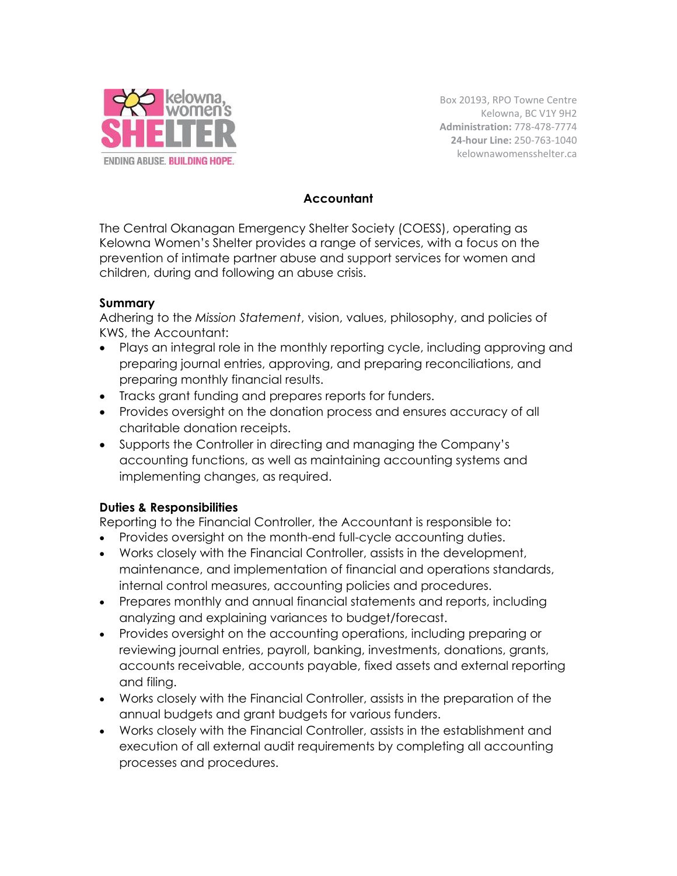

Box 20193, RPO Towne Centre Kelowna, BC V1Y 9H2 **Administration:** 778-478-7774 **24-hour Line:** 250-763-1040 kelownawomensshelter.ca

#### **Accountant**

The Central Okanagan Emergency Shelter Society (COESS), operating as Kelowna Women's Shelter provides a range of services, with a focus on the prevention of intimate partner abuse and support services for women and children, during and following an abuse crisis.

#### **Summary**

Adhering to the *Mission Statement*, vision, values, philosophy, and policies of KWS, the Accountant:

- Plays an integral role in the monthly reporting cycle, including approving and preparing journal entries, approving, and preparing reconciliations, and preparing monthly financial results.
- Tracks grant funding and prepares reports for funders.
- Provides oversight on the donation process and ensures accuracy of all charitable donation receipts.
- Supports the Controller in directing and managing the Company's accounting functions, as well as maintaining accounting systems and implementing changes, as required.

### **Duties & Responsibilities**

Reporting to the Financial Controller, the Accountant is responsible to:

- Provides oversight on the month-end full-cycle accounting duties.
- Works closely with the Financial Controller, assists in the development, maintenance, and implementation of financial and operations standards, internal control measures, accounting policies and procedures.
- Prepares monthly and annual financial statements and reports, including analyzing and explaining variances to budget/forecast.
- Provides oversight on the accounting operations, including preparing or reviewing journal entries, payroll, banking, investments, donations, grants, accounts receivable, accounts payable, fixed assets and external reporting and filing.
- Works closely with the Financial Controller, assists in the preparation of the annual budgets and grant budgets for various funders.
- Works closely with the Financial Controller, assists in the establishment and execution of all external audit requirements by completing all accounting processes and procedures.